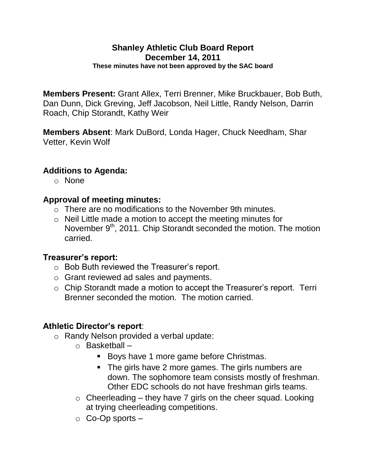#### **Shanley Athletic Club Board Report December 14, 2011 These minutes have not been approved by the SAC board**

**Members Present:** Grant Allex, Terri Brenner, Mike Bruckbauer, Bob Buth, Dan Dunn, Dick Greving, Jeff Jacobson, Neil Little, Randy Nelson, Darrin Roach, Chip Storandt, Kathy Weir

**Members Absent**: Mark DuBord, Londa Hager, Chuck Needham, Shar Vetter, Kevin Wolf

### **Additions to Agenda:**

o None

### **Approval of meeting minutes:**

- o There are no modifications to the November 9th minutes.
- o Neil Little made a motion to accept the meeting minutes for November 9<sup>th</sup>, 2011. Chip Storandt seconded the motion. The motion carried.

#### **Treasurer's report:**

- o Bob Buth reviewed the Treasurer's report.
- o Grant reviewed ad sales and payments.
- o Chip Storandt made a motion to accept the Treasurer's report. Terri Brenner seconded the motion. The motion carried.

# **Athletic Director's report**:

- o Randy Nelson provided a verbal update:
	- o Basketball
		- **Boys have 1 more game before Christmas.**
		- The girls have 2 more games. The girls numbers are down. The sophomore team consists mostly of freshman. Other EDC schools do not have freshman girls teams.
	- $\circ$  Cheerleading they have 7 girls on the cheer squad. Looking at trying cheerleading competitions.
	- $\circ$  Co-Op sports  $-$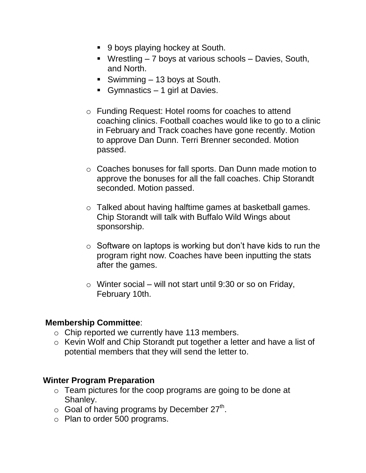- 9 boys playing hockey at South.
- Wrestling 7 boys at various schools Davies, South, and North.
- Swimming 13 boys at South.
- Gymnastics 1 girl at Davies.
- o Funding Request: Hotel rooms for coaches to attend coaching clinics. Football coaches would like to go to a clinic in February and Track coaches have gone recently. Motion to approve Dan Dunn. Terri Brenner seconded. Motion passed.
- o Coaches bonuses for fall sports. Dan Dunn made motion to approve the bonuses for all the fall coaches. Chip Storandt seconded. Motion passed.
- o Talked about having halftime games at basketball games. Chip Storandt will talk with Buffalo Wild Wings about sponsorship.
- $\circ$  Software on laptops is working but don't have kids to run the program right now. Coaches have been inputting the stats after the games.
- $\circ$  Winter social will not start until 9:30 or so on Friday, February 10th.

#### **Membership Committee**:

- o Chip reported we currently have 113 members.
- o Kevin Wolf and Chip Storandt put together a letter and have a list of potential members that they will send the letter to.

#### **Winter Program Preparation**

- o Team pictures for the coop programs are going to be done at Shanley.
- $\circ$  Goal of having programs by December 27<sup>th</sup>.
- o Plan to order 500 programs.